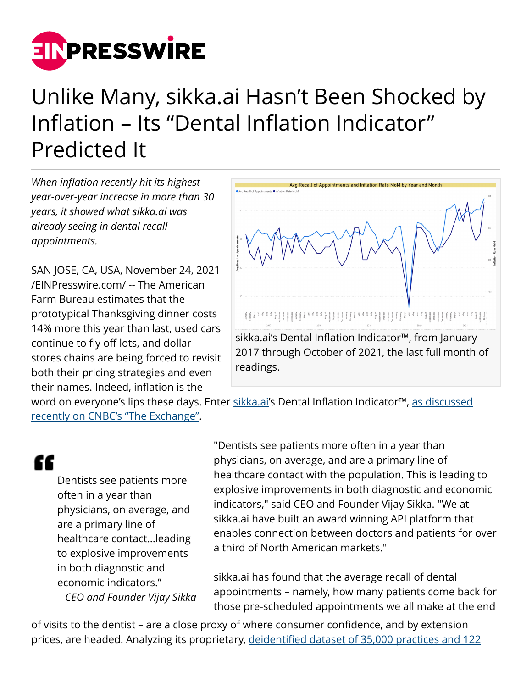

## Unlike Many, sikka.ai Hasn't Been Shocked by Inflation – Its "Dental Inflation Indicator" Predicted It

*When inflation recently hit its highest year-over-year increase in more than 30 years, it showed what sikka.ai was already seeing in dental recall appointments.*

SAN JOSE, CA, USA, November 24, 2021 [/EINPresswire.com/](http://www.einpresswire.com) -- The American Farm Bureau estimates that the prototypical Thanksgiving dinner costs 14% more this year than last, used cars continue to fly off lots, and dollar stores chains are being forced to revisit both their pricing strategies and even their names. Indeed, inflation is the



word on everyone's lips these days. Enter [sikka.ai](https://sikka.ai/)'s Dental Inflation Indicator™, [as discussed](https://www.cnbc.com/video/2021/07/23/data-from-the-dental-office-an-alternative-inflation-indicator.html) [recently on CNBC's "The Exchange"](https://www.cnbc.com/video/2021/07/23/data-from-the-dental-office-an-alternative-inflation-indicator.html).

## "

Dentists see patients more often in a year than physicians, on average, and are a primary line of healthcare contact...leading to explosive improvements in both diagnostic and economic indicators." *CEO and Founder Vijay Sikka*

"Dentists see patients more often in a year than physicians, on average, and are a primary line of healthcare contact with the population. This is leading to explosive improvements in both diagnostic and economic indicators," said CEO and Founder Vijay Sikka. "We at sikka.ai have built an award winning API platform that enables connection between doctors and patients for over a third of North American markets."

sikka.ai has found that the average recall of dental appointments – namely, how many patients come back for those pre-scheduled appointments we all make at the end

of visits to the dentist – are a close proxy of where consumer confidence, and by extension prices, are headed. Analyzing its proprietary, [deidentified dataset of 35,000 practices and 122](https://sikka.ai/V3/industries/dental.html)